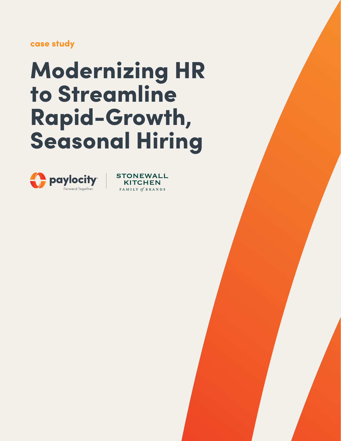### case study

# Modernizing HR to Streamline Rapid-Growth, Seasonal Hiring



**STONEWALL KITCHEN** FAMILY of BRANDS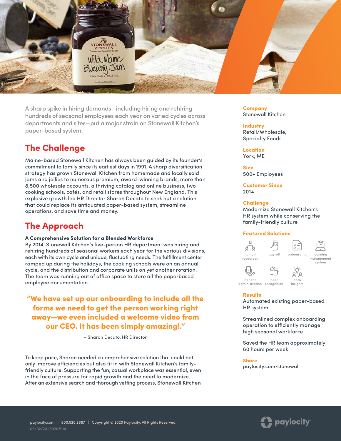

A sharp spike in hiring demands—including hiring and rehiring hundreds of seasonal employees each year on varied cycles across departments and sites—put a major strain on Stonewall Kitchen's paper-based system.

## The Challenge

Maine-based Stonewall Kitchen has always been guided by its founder's commitment to family since its earliest days in 1991. A sharp diversification strategy has grown Stonewall Kitchen from homemade and locally sold jams and jellies to numerous premium, award-winning brands, more than 8,500 wholesale accounts, a thriving catalog and online business, two cooking schools, cafés, and retail stores throughout New England. This explosive growth led HR Director Sharon Decato to seek out a solution that could replace its antiquated paper-based system, streamline operations, and save time and money.

## The Approach

#### A Comprehensive Solution for a Blended Workforce

By 2014, Stonewall Kitchen's five-person HR department was hiring and rehiring hundreds of seasonal workers each year for the various divisions, each with its own cycle and unique, fluctuating needs. The fulfillment center ramped up during the holidays, the cooking schools were on an annual cycle, and the distribution and corporate units on yet another rotation. The team was running out of office space to store all the paperbased employee documentation.

"We have set up our onboarding to include all the forms we need to get the person working right away—we even included a welcome video from our CEO. It has been simply amazing!."

– Sharon Decato, HR Director

To keep pace, Sharon needed a comprehensive solution that could not only improve efficiencies but also fit in with Stonewall Kitchen's familyfriendly culture. Supporting the fun, casual workplace was essential, even in the face of pressure for rapid growth and the need to modernize. After an extensive search and thorough vetting process, Stonewall Kitchen

Company Stonewall Kitchen

**Industry** Retail/Wholesale, Specialty Foods

Location York, ME

Size 500+ Employees

Customer Since 2014

#### Challenge

Modernize Stonewall Kitchen's HR system while conserving the family-friendly culture

#### Featured Solutions



#### **Results**

Automated existing paper-based HR system

Streamlined complex onboarding operation to efficiently manage high seasonal workforce

Saved the HR team approximately 60 hours per week

#### **Share**

[paylocity.com/stonewall](https://www.paylocity.com/resources/resource-library/case-study-modernizing-hr-to-streamline-seasonal-hiring/?utm_source=offline&utm_medium=pdf&utm_campaign=casestudy&asset=15020701a_stonewallkitchen)